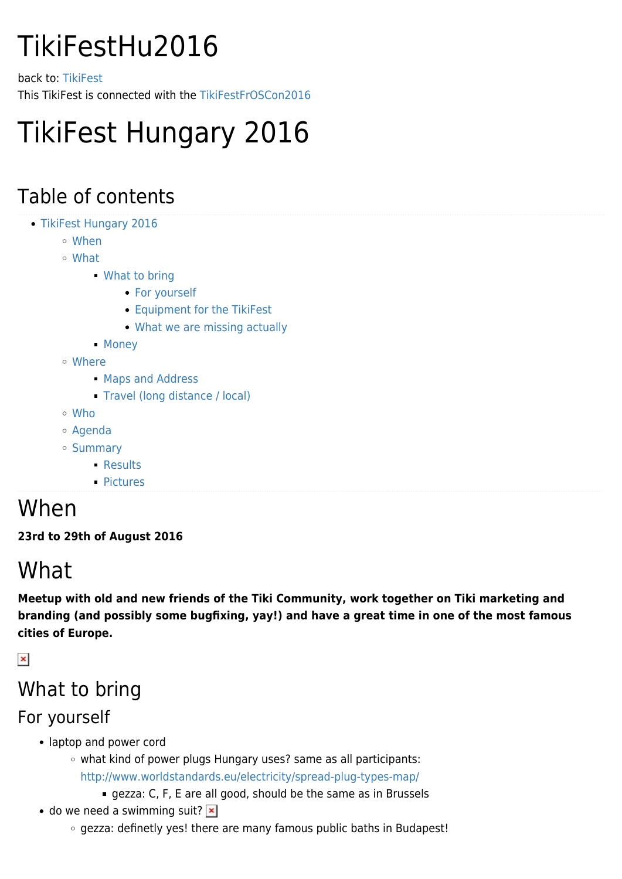# TikiFestHu2016

back to: [TikiFest](https://tiki.org/TikiFest) This TikiFest is connected with the [TikiFestFrOSCon2016](https://tiki.org/TikiFestFrOSCon2016)

# TikiFest Hungary 2016

### Table of contents

- [TikiFest Hungary 2016](#page--1-0)
	- [When](#page--1-0)
	- [What](#page--1-0)
		- [What to bring](#page--1-0)
			- [For yourself](#page--1-0)
			- [Equipment for the TikiFest](#page--1-0)
			- [What we are missing actually](#page--1-0)
		- [Money](#page--1-0)
	- [Where](#page--1-0)
		- **[Maps and Address](#page--1-0)**
		- **[Travel \(long distance / local\)](#page--1-0)**
	- [Who](#page--1-0)
	- [Agenda](#page--1-0)
	- o [Summary](#page--1-0)
		- [Results](#page--1-0)
		- [Pictures](#page--1-0)

### When

**23rd to 29th of August 2016**

# What

**Meetup with old and new friends of the Tiki Community, work together on Tiki marketing and branding (and possibly some bugfixing, yay!) and have a great time in one of the most famous cities of Europe.**

 $\pmb{\times}$ 

### What to bring

#### For yourself

- laptop and power cord
	- what kind of power plugs Hungary uses? same as all participants: <http://www.worldstandards.eu/electricity/spread-plug-types-map/>
		- gezza: C, F, E are all good, should be the same as in Brussels
- $\bullet$  do we need a swimming suit?  $\mathbf{\times}$ 
	- gezza: definetly yes! there are many famous public baths in Budapest!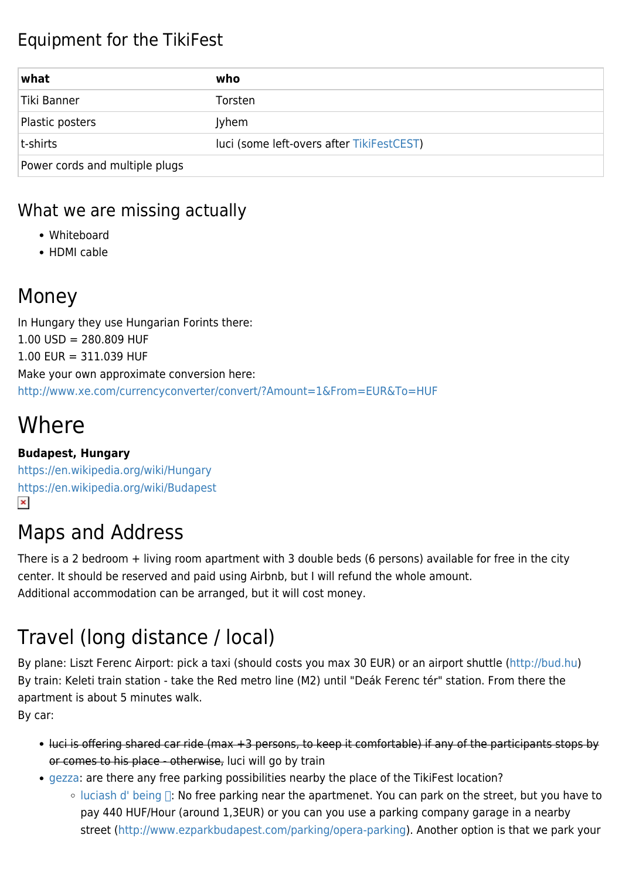#### Equipment for the TikiFest

| what                           | who                                       |
|--------------------------------|-------------------------------------------|
| Tiki Banner                    | Torsten                                   |
| Plastic posters                | <b>Jyhem</b>                              |
| t-shirts                       | luci (some left-overs after TikiFestCEST) |
| Power cords and multiple plugs |                                           |

#### What we are missing actually

- Whiteboard
- HDMI cable

#### Money

In Hungary they use Hungarian Forints there:  $1.00$  USD = 280.809 HUF 1.00 EUR = 311.039 HUF Make your own approximate conversion here: <http://www.xe.com/currencyconverter/convert/?Amount=1&From=EUR&To=HUF>

# **Where**

#### **Budapest, Hungary**

<https://en.wikipedia.org/wiki/Hungary> <https://en.wikipedia.org/wiki/Budapest>  $\pmb{\times}$ 

#### Maps and Address

There is a 2 bedroom + living room apartment with 3 double beds (6 persons) available for free in the city center. It should be reserved and paid using Airbnb, but I will refund the whole amount. Additional accommodation can be arranged, but it will cost money.

### Travel (long distance / local)

By plane: Liszt Ferenc Airport: pick a taxi (should costs you max 30 EUR) or an airport shuttle ([http://bud.hu\)](http://bud.hu) By train: Keleti train station - take the Red metro line (M2) until "Deák Ferenc tér" station. From there the apartment is about 5 minutes walk.

By car:

- luci is offering shared car ride (max +3 persons, to keep it comfortable) if any of the participants stops by or comes to his place - otherwise, luci will go by train
- [gezza:](https://tiki.org/user10660) are there any free parking possibilities nearby the place of the TikiFest location?
	- $\circ$  luciash d' being  $\Box$ : No free parking near the apartmenet. You can park on the street, but you have to pay 440 HUF/Hour (around 1,3EUR) or you can you use a parking company garage in a nearby street [\(http://www.ezparkbudapest.com/parking/opera-parking\)](http://www.ezparkbudapest.com/parking/opera-parking). Another option is that we park your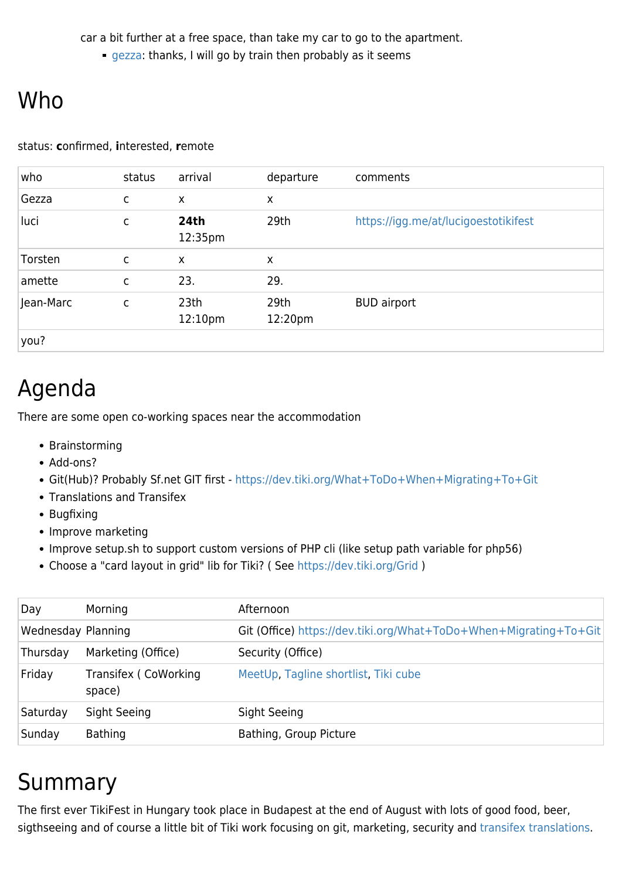car a bit further at a free space, than take my car to go to the apartment.

**[gezza:](https://tiki.org/user10660) thanks, I will go by train then probably as it seems** 

# Who

#### status: **c**onfirmed, **i**nterested, **r**emote

| who       | status       | arrival                     | departure       | comments                             |
|-----------|--------------|-----------------------------|-----------------|--------------------------------------|
| Gezza     | C            | X                           | X               |                                      |
| luci      | C            | <b>24th</b><br>12:35pm      | 29th            | https://igg.me/at/lucigoestotikifest |
| Torsten   | C            | X                           | X               |                                      |
| amette    | C            | 23.                         | 29.             |                                      |
| Jean-Marc | $\mathsf{C}$ | 23th<br>12:10 <sub>pm</sub> | 29th<br>12:20pm | <b>BUD</b> airport                   |
| you?      |              |                             |                 |                                      |

## Agenda

There are some open co-working spaces near the accommodation

- Brainstorming
- Add-ons?
- Git(Hub)? Probably Sf.net GIT first -<https://dev.tiki.org/What+ToDo+When+Migrating+To+Git>
- Translations and Transifex
- Bugfixing
- Improve marketing
- Improve setup.sh to support custom versions of PHP cli (like setup path variable for php56)
- Choose a "card layout in grid" lib for Tiki? ( See <https://dev.tiki.org/Grid> )

| Day                | Morning                         | Afternoon                                                         |
|--------------------|---------------------------------|-------------------------------------------------------------------|
| Wednesday Planning |                                 | Git (Office) https://dev.tiki.org/What+ToDo+When+Migrating+To+Git |
| Thursday           | Marketing (Office)              | Security (Office)                                                 |
| Friday             | Transifex (CoWorking)<br>space) | MeetUp, Tagline shortlist, Tiki cube                              |
| Saturday           | Sight Seeing                    | Sight Seeing                                                      |
| Sunday             | <b>Bathing</b>                  | Bathing, Group Picture                                            |
|                    |                                 |                                                                   |

## Summary

The first ever TikiFest in Hungary took place in Budapest at the end of August with lots of good food, beer, sigthseeing and of course a little bit of Tiki work focusing on git, marketing, security and [transifex translations.](https://translation.tiki.org/tiki-index.php)